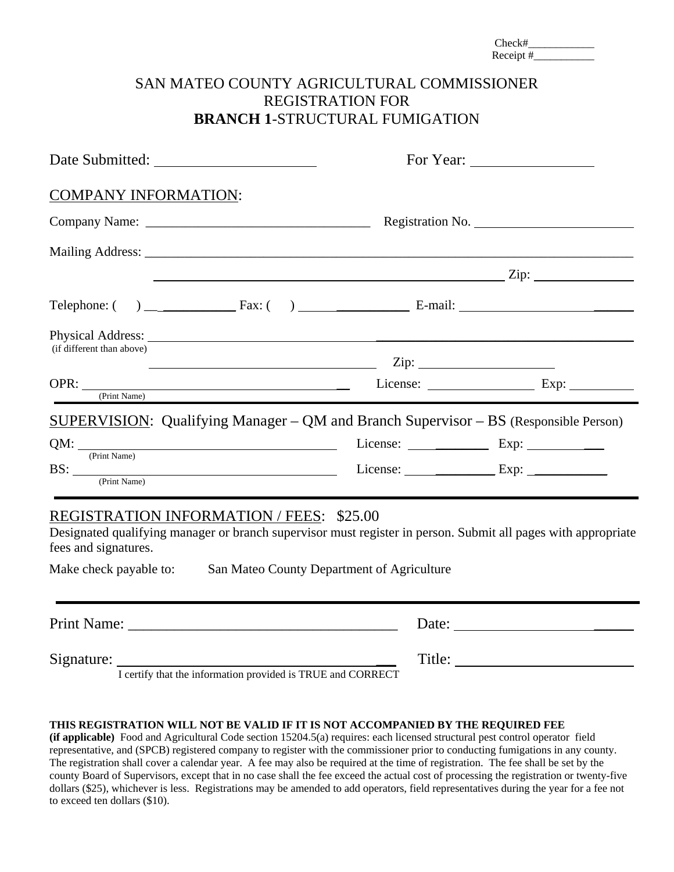|                                                                                                   |                                                                                                                                                             | $Receipt \#$ |  |  |  |
|---------------------------------------------------------------------------------------------------|-------------------------------------------------------------------------------------------------------------------------------------------------------------|--------------|--|--|--|
|                                                                                                   | SAN MATEO COUNTY AGRICULTURAL COMMISSIONER<br><b>REGISTRATION FOR</b><br><b>BRANCH 1-STRUCTURAL FUMIGATION</b>                                              |              |  |  |  |
|                                                                                                   |                                                                                                                                                             |              |  |  |  |
| <b>COMPANY INFORMATION:</b>                                                                       |                                                                                                                                                             |              |  |  |  |
|                                                                                                   |                                                                                                                                                             |              |  |  |  |
|                                                                                                   |                                                                                                                                                             |              |  |  |  |
|                                                                                                   |                                                                                                                                                             |              |  |  |  |
|                                                                                                   | Telephone: $\begin{pmatrix} 0 & 1 \end{pmatrix}$ Fax: $\begin{pmatrix} 0 & 1 \end{pmatrix}$ E-mail:                                                         |              |  |  |  |
| (if different than above)                                                                         |                                                                                                                                                             |              |  |  |  |
| (Print Name)                                                                                      |                                                                                                                                                             |              |  |  |  |
|                                                                                                   | <b>SUPERVISION:</b> Qualifying Manager – QM and Branch Supervisor – BS (Responsible Person)                                                                 |              |  |  |  |
| $QM:$ $\frac{1}{(Print Name)}$                                                                    | License: $\_\_\_\_\_\_\$ Exp: $\_\_\_\_\_\_\_\_\_\_\_\_\_\_\_$                                                                                              |              |  |  |  |
| $\text{BS:}\n \begin{array}{c}\n \text{Print Name}\n \end{array}$                                 | License: $\_\_\_\_\_\_\_\$ Exp:                                                                                                                             |              |  |  |  |
| <b>REGISTRATION INFORMATION / FEES: \$25.00</b><br>fees and signatures.<br>Make check payable to: | Designated qualifying manager or branch supervisor must register in person. Submit all pages with appropriate<br>San Mateo County Department of Agriculture |              |  |  |  |
|                                                                                                   |                                                                                                                                                             | Date:        |  |  |  |
| Signature: I certify that the information provided is TRUE and CORRECT                            |                                                                                                                                                             |              |  |  |  |
|                                                                                                   |                                                                                                                                                             |              |  |  |  |

#### **THIS REGISTRATION WILL NOT BE VALID IF IT IS NOT ACCOMPANIED BY THE REQUIRED FEE**

**(if applicable)** Food and Agricultural Code section 15204.5(a) requires: each licensed structural pest control operator field representative, and (SPCB) registered company to register with the commissioner prior to conducting fumigations in any county. The registration shall cover a calendar year. A fee may also be required at the time of registration. The fee shall be set by the county Board of Supervisors, except that in no case shall the fee exceed the actual cost of processing the registration or twenty-five dollars (\$25), whichever is less. Registrations may be amended to add operators, field representatives during the year for a fee not to exceed ten dollars (\$10).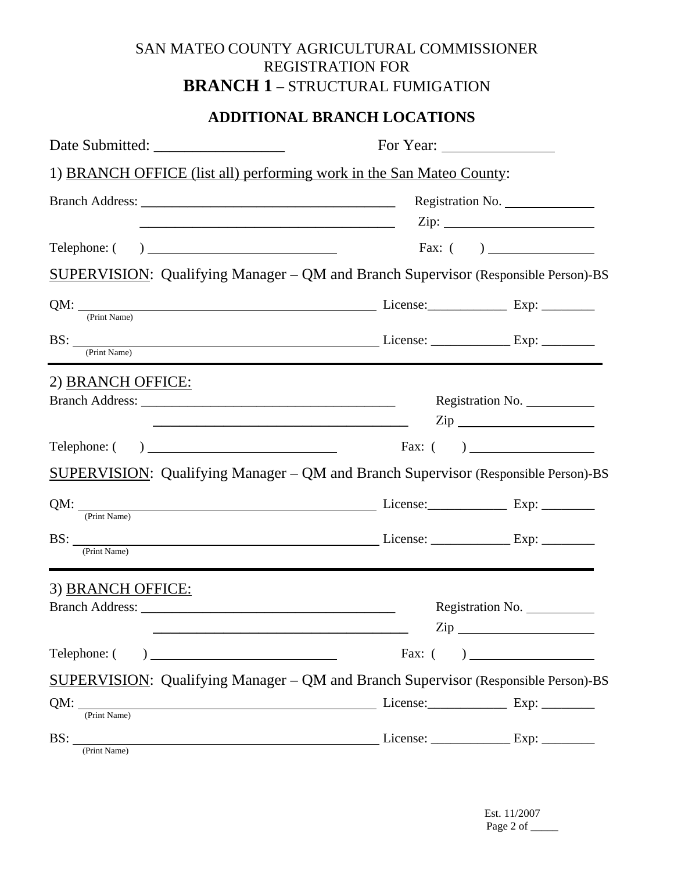# SAN MATEO COUNTY AGRICULTURAL COMMISSIONER REGISTRATION FOR **BRANCH 1** – STRUCTURAL FUMIGATION

### **ADDITIONAL BRANCH LOCATIONS**

| 1) BRANCH OFFICE (list all) performing work in the San Mateo County:                                                                                                                                                                           |                  |                                                                                                                                                                                                                                                                                                                                                     |  |  |  |
|------------------------------------------------------------------------------------------------------------------------------------------------------------------------------------------------------------------------------------------------|------------------|-----------------------------------------------------------------------------------------------------------------------------------------------------------------------------------------------------------------------------------------------------------------------------------------------------------------------------------------------------|--|--|--|
|                                                                                                                                                                                                                                                |                  | Registration No.                                                                                                                                                                                                                                                                                                                                    |  |  |  |
|                                                                                                                                                                                                                                                |                  | Zip:                                                                                                                                                                                                                                                                                                                                                |  |  |  |
| Telephone: (                                                                                                                                                                                                                                   |                  |                                                                                                                                                                                                                                                                                                                                                     |  |  |  |
| SUPERVISION: Qualifying Manager - QM and Branch Supervisor (Responsible Person)-BS                                                                                                                                                             |                  |                                                                                                                                                                                                                                                                                                                                                     |  |  |  |
| $QM:$ $\frac{QM:}{(Print Name)}$ License: Exp: $\frac{1}{(Print Name)}$                                                                                                                                                                        |                  |                                                                                                                                                                                                                                                                                                                                                     |  |  |  |
| $\text{BS:}\_\_\text{(Print Name)}$ License: $\_\_\_\text{Exp:}\_\_\_\_\text{Exp:}\_\_\_\_\_\_\$                                                                                                                                               |                  |                                                                                                                                                                                                                                                                                                                                                     |  |  |  |
| 2) BRANCH OFFICE:                                                                                                                                                                                                                              |                  |                                                                                                                                                                                                                                                                                                                                                     |  |  |  |
|                                                                                                                                                                                                                                                |                  | Registration No.<br>$\mathsf{Zip}\_\_$                                                                                                                                                                                                                                                                                                              |  |  |  |
| Telephone: (                                                                                                                                                                                                                                   |                  | $\frac{1}{2}$ Fax: ( )                                                                                                                                                                                                                                                                                                                              |  |  |  |
| <b>SUPERVISION:</b> Qualifying Manager – QM and Branch Supervisor (Responsible Person)-BS                                                                                                                                                      |                  |                                                                                                                                                                                                                                                                                                                                                     |  |  |  |
| (Print Name)                                                                                                                                                                                                                                   |                  |                                                                                                                                                                                                                                                                                                                                                     |  |  |  |
| BS: <u>(Print Name)</u> License: <u>Channel</u> License: <u>Channel Bischer Bischer Bischer Bischer Bischer Bischer Bischer Bischer Bischer Bischer Bischer Bischer Bischer Bischer Bischer Bischer Bischer Bischer Bischer Bischer Bische</u> |                  |                                                                                                                                                                                                                                                                                                                                                     |  |  |  |
| 3) BRANCH OFFICE:                                                                                                                                                                                                                              |                  |                                                                                                                                                                                                                                                                                                                                                     |  |  |  |
|                                                                                                                                                                                                                                                | Registration No. |                                                                                                                                                                                                                                                                                                                                                     |  |  |  |
|                                                                                                                                                                                                                                                | $\mathsf{Zip}\_$ |                                                                                                                                                                                                                                                                                                                                                     |  |  |  |
| Telephone: (                                                                                                                                                                                                                                   | Fax: $($         | $\begin{picture}(150,10) \put(0,0){\line(1,0){10}} \put(15,0){\line(1,0){10}} \put(15,0){\line(1,0){10}} \put(15,0){\line(1,0){10}} \put(15,0){\line(1,0){10}} \put(15,0){\line(1,0){10}} \put(15,0){\line(1,0){10}} \put(15,0){\line(1,0){10}} \put(15,0){\line(1,0){10}} \put(15,0){\line(1,0){10}} \put(15,0){\line(1,0){10}} \put(15,0){\line($ |  |  |  |
| SUPERVISION: Qualifying Manager – QM and Branch Supervisor (Responsible Person)-BS                                                                                                                                                             |                  |                                                                                                                                                                                                                                                                                                                                                     |  |  |  |
| (Print Name)                                                                                                                                                                                                                                   |                  |                                                                                                                                                                                                                                                                                                                                                     |  |  |  |
| BS:<br>(Print Name)                                                                                                                                                                                                                            |                  |                                                                                                                                                                                                                                                                                                                                                     |  |  |  |